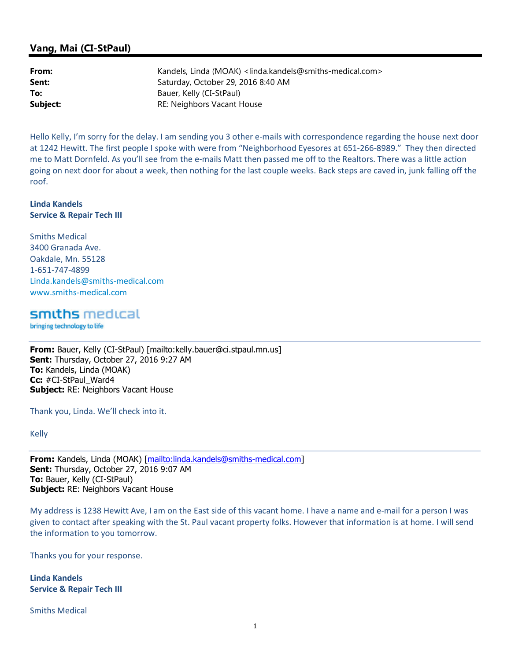## Vang, Mai (CI-StPaul)

| From:    | Kandels, Linda (MOAK) <linda.kandels@smiths-medical.com></linda.kandels@smiths-medical.com> |
|----------|---------------------------------------------------------------------------------------------|
| Sent:    | Saturday, October 29, 2016 8:40 AM                                                          |
| To:      | Bauer, Kelly (CI-StPaul)                                                                    |
| Subject: | RE: Neighbors Vacant House                                                                  |

Hello Kelly, I'm sorry for the delay. I am sending you 3 other e-mails with correspondence regarding the house next door at 1242 Hewitt. The first people I spoke with were from "Neighborhood Eyesores at 651-266-8989." They then directed me to Matt Dornfeld. As you'll see from the e-mails Matt then passed me off to the Realtors. There was a little action going on next door for about a week, then nothing for the last couple weeks. Back steps are caved in, junk falling off the roof.

Linda Kandels Service & Repair Tech III

Smiths Medical 3400 Granada Ave. Oakdale, Mn. 55128 1-651-747-4899 Linda.kandels@smiths-medical.com www.smiths-medical.com

smiths medical

bringing technology to life

From: Bauer, Kelly (CI-StPaul) [mailto:kelly.bauer@ci.stpaul.mn.us] Sent: Thursday, October 27, 2016 9:27 AM To: Kandels, Linda (MOAK) Cc: #CI-StPaul\_Ward4 Subject: RE: Neighbors Vacant House

Thank you, Linda. We'll check into it.

Kelly

From: Kandels, Linda (MOAK) [mailto:linda.kandels@smiths-medical.com] Sent: Thursday, October 27, 2016 9:07 AM To: Bauer, Kelly (CI-StPaul) Subject: RE: Neighbors Vacant House

My address is 1238 Hewitt Ave, I am on the East side of this vacant home. I have a name and e-mail for a person I was given to contact after speaking with the St. Paul vacant property folks. However that information is at home. I will send the information to you tomorrow.

Thanks you for your response.

Linda Kandels Service & Repair Tech III

Smiths Medical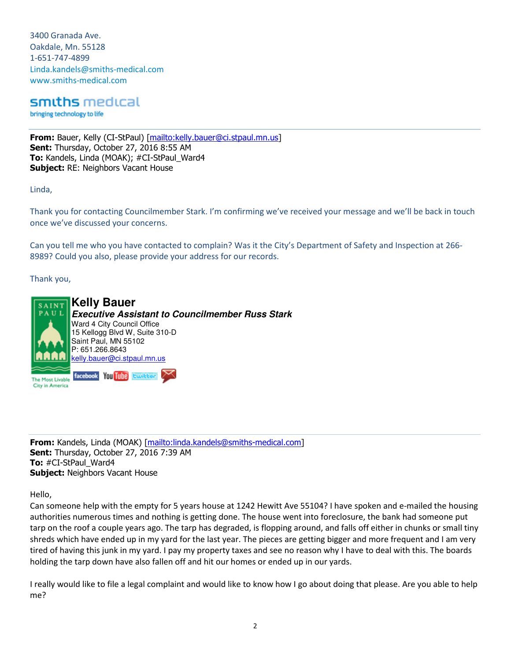3400 Granada Ave. Oakdale, Mn. 55128 1-651-747-4899 Linda.kandels@smiths-medical.com www.smiths-medical.com

smiths medical

bringing technology to life

From: Bauer, Kelly (CI-StPaul) [mailto:kelly.bauer@ci.stpaul.mn.us] Sent: Thursday, October 27, 2016 8:55 AM To: Kandels, Linda (MOAK); #CI-StPaul Ward4 Subject: RE: Neighbors Vacant House

Linda,

Thank you for contacting Councilmember Stark. I'm confirming we've received your message and we'll be back in touch once we've discussed your concerns.

Can you tell me who you have contacted to complain? Was it the City's Department of Safety and Inspection at 266- 8989? Could you also, please provide your address for our records.

Thank you,



From: Kandels, Linda (MOAK) [mailto:linda.kandels@smiths-medical.com] Sent: Thursday, October 27, 2016 7:39 AM To: #CI-StPaul\_Ward4 **Subject: Neighbors Vacant House** 

Hello,

Can someone help with the empty for 5 years house at 1242 Hewitt Ave 55104? I have spoken and e-mailed the housing authorities numerous times and nothing is getting done. The house went into foreclosure, the bank had someone put tarp on the roof a couple years ago. The tarp has degraded, is flopping around, and falls off either in chunks or small tiny shreds which have ended up in my yard for the last year. The pieces are getting bigger and more frequent and I am very tired of having this junk in my yard. I pay my property taxes and see no reason why I have to deal with this. The boards holding the tarp down have also fallen off and hit our homes or ended up in our yards.

I really would like to file a legal complaint and would like to know how I go about doing that please. Are you able to help me?